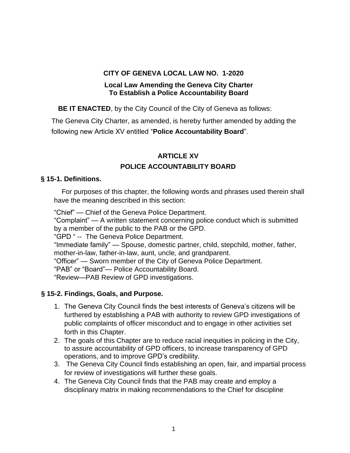#### **CITY OF GENEVA LOCAL LAW NO. 1-2020**

#### **Local Law Amending the Geneva City Charter To Establish a Police Accountability Board**

**BE IT ENACTED**, by the City Council of the City of Geneva as follows:

The Geneva City Charter, as amended, is hereby further amended by adding the following new Article XV entitled "**Police Accountability Board**".

# **ARTICLE XV**

# **POLICE ACCOUNTABILITY BOARD**

### **§ 15-1. Definitions.**

For purposes of this chapter, the following words and phrases used therein shall have the meaning described in this section:

"Chief" — Chief of the Geneva Police Department.

"Complaint" — A written statement concerning police conduct which is submitted by a member of the public to the PAB or the GPD.

"GPD " -- The Geneva Police Department.

"Immediate family" — Spouse, domestic partner, child, stepchild, mother, father, mother-in-law, father-in-law, aunt, uncle, and grandparent.

"Officer" — Sworn member of the City of Geneva Police Department.

"PAB" or "Board"— Police Accountability Board.

"Review—PAB Review of GPD investigations.

## **§ 15-2. Findings, Goals, and Purpose.**

- 1. The Geneva City Council finds the best interests of Geneva's citizens will be furthered by establishing a PAB with authority to review GPD investigations of public complaints of officer misconduct and to engage in other activities set forth in this Chapter.
- 2. The goals of this Chapter are to reduce racial inequities in policing in the City, to assure accountability of GPD officers, to increase transparency of GPD operations, and to improve GPD's credibility.
- 3. The Geneva City Council finds establishing an open, fair, and impartial process for review of investigations will further these goals.
- 4. The Geneva City Council finds that the PAB may create and employ a disciplinary matrix in making recommendations to the Chief for discipline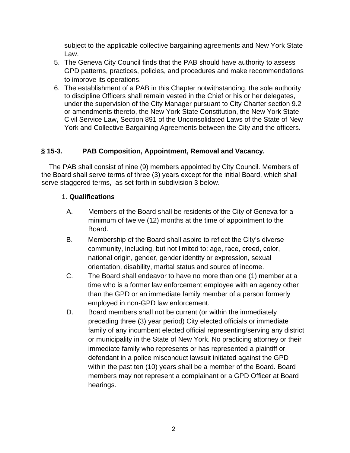subject to the applicable collective bargaining agreements and New York State Law.

- 5. The Geneva City Council finds that the PAB should have authority to assess GPD patterns, practices, policies, and procedures and make recommendations to improve its operations.
- 6. The establishment of a PAB in this Chapter notwithstanding, the sole authority to discipline Officers shall remain vested in the Chief or his or her delegates, under the supervision of the City Manager pursuant to City Charter section 9.2 or amendments thereto, the New York State Constitution, the New York State Civil Service Law, Section 891 of the Unconsolidated Laws of the State of New York and Collective Bargaining Agreements between the City and the officers.

## **§ 15-3. PAB Composition, Appointment, Removal and Vacancy.**

The PAB shall consist of nine (9) members appointed by City Council. Members of the Board shall serve terms of three (3) years except for the initial Board, which shall serve staggered terms, as set forth in subdivision 3 below.

### 1. **Qualifications**

- A. Members of the Board shall be residents of the City of Geneva for a minimum of twelve (12) months at the time of appointment to the Board.
- B. Membership of the Board shall aspire to reflect the City's diverse community, including, but not limited to: age, race, creed, color, national origin, gender, gender identity or expression, sexual orientation, disability, marital status and source of income.
- C. The Board shall endeavor to have no more than one (1) member at a time who is a former law enforcement employee with an agency other than the GPD or an immediate family member of a person formerly employed in non-GPD law enforcement.
- D. Board members shall not be current (or within the immediately preceding three (3) year period) City elected officials or immediate family of any incumbent elected official representing/serving any district or municipality in the State of New York. No practicing attorney or their immediate family who represents or has represented a plaintiff or defendant in a police misconduct lawsuit initiated against the GPD within the past ten (10) years shall be a member of the Board. Board members may not represent a complainant or a GPD Officer at Board hearings.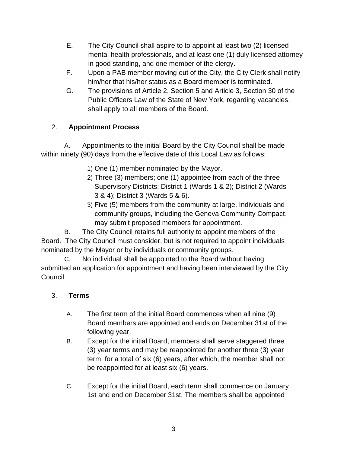- E. The City Council shall aspire to to appoint at least two (2) licensed mental health professionals, and at least one (1) duly licensed attorney in good standing, and one member of the clergy.
- F. Upon a PAB member moving out of the City, the City Clerk shall notify him/her that his/her status as a Board member is terminated.
- G. The provisions of Article 2, Section 5 and Article 3, Section 30 of the Public Officers Law of the State of New York, regarding vacancies, shall apply to all members of the Board.

# 2. **Appointment Process**

A. Appointments to the initial Board by the City Council shall be made within ninety (90) days from the effective date of this Local Law as follows:

- 1) One (1) member nominated by the Mayor.
- 2) Three (3) members; one (1) appointee from each of the three Supervisory Districts: District 1 (Wards 1 & 2); District 2 (Wards 3 & 4); District 3 (Wards 5 & 6).
- 3) Five (5) members from the community at large. Individuals and community groups, including the Geneva Community Compact, may submit proposed members for appointment.

B. The City Council retains full authority to appoint members of the Board. The City Council must consider, but is not required to appoint individuals nominated by the Mayor or by individuals or community groups.

C. No individual shall be appointed to the Board without having submitted an application for appointment and having been interviewed by the City **Council** 

## 3. **Terms**

- A. The first term of the initial Board commences when all nine (9) Board members are appointed and ends on December 31st of the following year.
- B. Except for the initial Board, members shall serve staggered three (3) year terms and may be reappointed for another three (3) year term, for a total of six (6) years, after which, the member shall not be reappointed for at least six (6) years.
- C. Except for the initial Board, each term shall commence on January 1st and end on December 31st. The members shall be appointed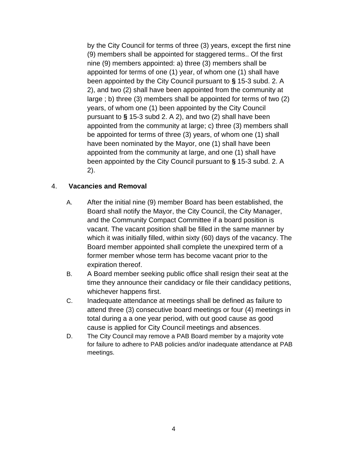by the City Council for terms of three (3) years, except the first nine (9) members shall be appointed for staggered terms.. Of the first nine (9) members appointed: a) three (3) members shall be appointed for terms of one (1) year, of whom one (1) shall have been appointed by the City Council pursuant to **§** 15-3 subd. 2. A 2), and two (2) shall have been appointed from the community at large ; b) three (3) members shall be appointed for terms of two (2) years, of whom one (1) been appointed by the City Council pursuant to **§** 15-3 subd 2. A 2), and two (2) shall have been appointed from the community at large; c) three (3) members shall be appointed for terms of three (3) years, of whom one (1) shall have been nominated by the Mayor, one (1) shall have been appointed from the community at large, and one (1) shall have been appointed by the City Council pursuant to **§** 15-3 subd. 2. A 2).

#### 4. **Vacancies and Removal**

- A. After the initial nine (9) member Board has been established, the Board shall notify the Mayor, the City Council, the City Manager, and the Community Compact Committee if a board position is vacant. The vacant position shall be filled in the same manner by which it was initially filled, within sixty (60) days of the vacancy. The Board member appointed shall complete the unexpired term of a former member whose term has become vacant prior to the expiration thereof.
- B. A Board member seeking public office shall resign their seat at the time they announce their candidacy or file their candidacy petitions, whichever happens first.
- C. Inadequate attendance at meetings shall be defined as failure to attend three (3) consecutive board meetings or four (4) meetings in total during a a one year period, with out good cause as good cause is applied for City Council meetings and absences.
- D. The City Council may remove a PAB Board member by a majority vote for failure to adhere to PAB policies and/or inadequate attendance at PAB meetings.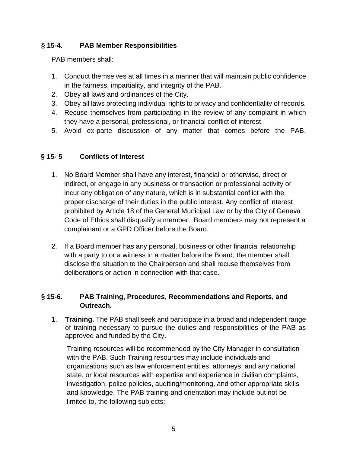## **§ 15-4. PAB Member Responsibilities**

PAB members shall:

- 1. Conduct themselves at all times in a manner that will maintain public confidence in the fairness, impartiality, and integrity of the PAB.
- 2. Obey all laws and ordinances of the City.
- 3. Obey all laws protecting individual rights to privacy and confidentiality of records.
- 4. Recuse themselves from participating in the review of any complaint in which they have a personal, professional, or financial conflict of interest.
- 5. Avoid ex-parte discussion of any matter that comes before the PAB.

### **§ 15- 5 Conflicts of Interest**

- 1. No Board Member shall have any interest, financial or otherwise, direct or indirect, or engage in any business or transaction or professional activity or incur any obligation of any nature, which is in substantial conflict with the proper discharge of their duties in the public interest. Any conflict of interest prohibited by Article 18 of the General Municipal Law or by the City of Geneva Code of Ethics shall disqualify a member. Board members may not represent a complainant or a GPD Officer before the Board.
- 2. If a Board member has any personal, business or other financial relationship with a party to or a witness in a matter before the Board, the member shall disclose the situation to the Chairperson and shall recuse themselves from deliberations or action in connection with that case.

#### **§ 15-6. PAB Training, Procedures, Recommendations and Reports, and Outreach.**

1. **Training.** The PAB shall seek and participate in a broad and independent range of training necessary to pursue the duties and responsibilities of the PAB as approved and funded by the City.

Training resources will be recommended by the City Manager in consultation with the PAB. Such Training resources may include individuals and organizations such as law enforcement entities, attorneys, and any national, state, or local resources with expertise and experience in civilian complaints, investigation, police policies, auditing/monitoring, and other appropriate skills and knowledge. The PAB training and orientation may include but not be limited to, the following subjects: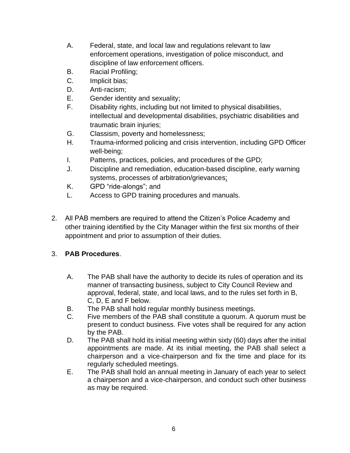- A. Federal, state, and local law and regulations relevant to law enforcement operations, investigation of police misconduct, and discipline of law enforcement officers.
- B. Racial Profiling;
- C. Implicit bias;
- D. Anti-racism;
- E. Gender identity and sexuality;
- F. Disability rights, including but not limited to physical disabilities, intellectual and developmental disabilities, psychiatric disabilities and traumatic brain injuries;
- G. Classism, poverty and homelessness;
- H. Trauma-informed policing and crisis intervention, including GPD Officer well-being;
- I. Patterns, practices, policies, and procedures of the GPD;
- J. Discipline and remediation, education-based discipline, early warning systems, processes of arbitration/grievances;
- K. GPD "ride-alongs"; and
- L. Access to GPD training procedures and manuals.
- 2. All PAB members are required to attend the Citizen's Police Academy and other training identified by the City Manager within the first six months of their appointment and prior to assumption of their duties.

## 3. **PAB Procedures**.

- A. The PAB shall have the authority to decide its rules of operation and its manner of transacting business, subject to City Council Review and approval, federal, state, and local laws, and to the rules set forth in B, C, D, E and F below.
- B. The PAB shall hold regular monthly business meetings.
- C. Five members of the PAB shall constitute a quorum. A quorum must be present to conduct business. Five votes shall be required for any action by the PAB.
- D. The PAB shall hold its initial meeting within sixty (60) days after the initial appointments are made. At its initial meeting, the PAB shall select a chairperson and a vice-chairperson and fix the time and place for its regularly scheduled meetings.
- E. The PAB shall hold an annual meeting in January of each year to select a chairperson and a vice-chairperson, and conduct such other business as may be required.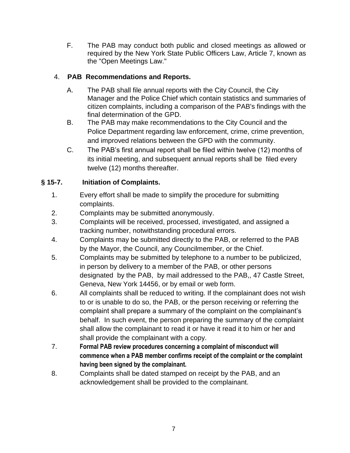F. The PAB may conduct both public and closed meetings as allowed or required by the New York State Public Officers Law, Article 7, known as the "Open Meetings Law."

# 4. **PAB Recommendations and Reports.**

- A. The PAB shall file annual reports with the City Council, the City Manager and the Police Chief which contain statistics and summaries of citizen complaints, including a comparison of the PAB's findings with the final determination of the GPD.
- B. The PAB may make recommendations to the City Council and the Police Department regarding law enforcement, crime, crime prevention, and improved relations between the GPD with the community.
- C. The PAB's first annual report shall be filed within twelve (12) months of its initial meeting, and subsequent annual reports shall be filed every twelve (12) months thereafter.

# **§ 15-7. Initiation of Complaints.**

- 1. Every effort shall be made to simplify the procedure for submitting complaints.
- 2. Complaints may be submitted anonymously.
- 3. Complaints will be received, processed, investigated, and assigned a tracking number, notwithstanding procedural errors.
- 4. Complaints may be submitted directly to the PAB, or referred to the PAB by the Mayor, the Council, any Councilmember, or the Chief.
- 5. Complaints may be submitted by telephone to a number to be publicized, in person by delivery to a member of the PAB, or other persons designated by the PAB, by mail addressed to the PAB,, 47 Castle Street, Geneva, New York 14456, or by email or web form.
- 6. All complaints shall be reduced to writing. If the complainant does not wish to or is unable to do so, the PAB, or the person receiving or referring the complaint shall prepare a summary of the complaint on the complainant's behalf. In such event, the person preparing the summary of the complaint shall allow the complainant to read it or have it read it to him or her and shall provide the complainant with a copy.
- 7. **Formal PAB review procedures concerning a complaint of misconduct will commence when a PAB member confirms receipt of the complaint or the complaint having been signed by the complainant.**
- 8. Complaints shall be dated stamped on receipt by the PAB, and an acknowledgement shall be provided to the complainant.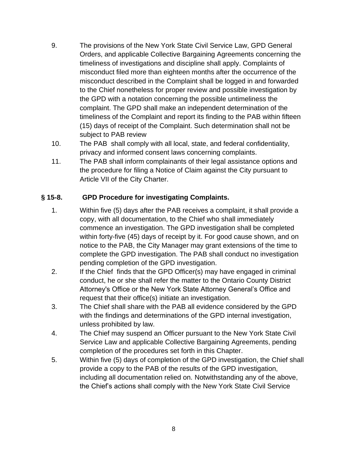- 9. The provisions of the New York State Civil Service Law, GPD General Orders, and applicable Collective Bargaining Agreements concerning the timeliness of investigations and discipline shall apply. Complaints of misconduct filed more than eighteen months after the occurrence of the misconduct described in the Complaint shall be logged in and forwarded to the Chief nonetheless for proper review and possible investigation by the GPD with a notation concerning the possible untimeliness the complaint. The GPD shall make an independent determination of the timeliness of the Complaint and report its finding to the PAB within fifteen (15) days of receipt of the Complaint. Such determination shall not be subject to PAB review
- 10. The PAB shall comply with all local, state, and federal confidentiality, privacy and informed consent laws concerning complaints.
- 11. The PAB shall inform complainants of their legal assistance options and the procedure for filing a Notice of Claim against the City pursuant to Article VII of the City Charter.

## **§ 15-8. GPD Procedure for investigating Complaints.**

- 1. Within five (5) days after the PAB receives a complaint, it shall provide a copy, with all documentation, to the Chief who shall immediately commence an investigation. The GPD investigation shall be completed within forty-five (45) days of receipt by it. For good cause shown, and on notice to the PAB, the City Manager may grant extensions of the time to complete the GPD investigation. The PAB shall conduct no investigation pending completion of the GPD investigation.
- 2. If the Chief finds that the GPD Officer(s) may have engaged in criminal conduct, he or she shall refer the matter to the Ontario County District Attorney's Office or the New York State Attorney General's Office and request that their office(s) initiate an investigation.
- 3. The Chief shall share with the PAB all evidence considered by the GPD with the findings and determinations of the GPD internal investigation, unless prohibited by law.
- 4. The Chief may suspend an Officer pursuant to the New York State Civil Service Law and applicable Collective Bargaining Agreements, pending completion of the procedures set forth in this Chapter.
- 5. Within five (5) days of completion of the GPD investigation, the Chief shall provide a copy to the PAB of the results of the GPD investigation, including all documentation relied on. Notwithstanding any of the above, the Chief's actions shall comply with the New York State Civil Service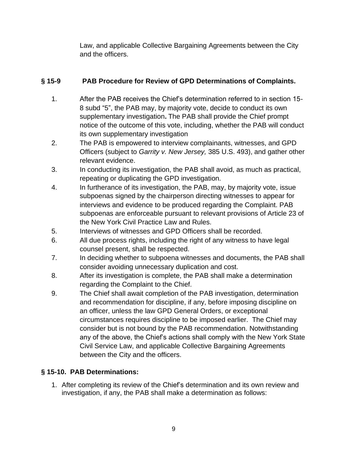Law, and applicable Collective Bargaining Agreements between the City and the officers.

## **§ 15-9 PAB Procedure for Review of GPD Determinations of Complaints.**

- 1. After the PAB receives the Chief's determination referred to in section 15- 8 subd "5", the PAB may, by majority vote, decide to conduct its own supplementary investigation**.** The PAB shall provide the Chief prompt notice of the outcome of this vote, including, whether the PAB will conduct its own supplementary investigation
- 2. The PAB is empowered to interview complainants, witnesses, and GPD Officers (subject to *Garrity v. New Jersey,* 385 U.S. 493), and gather other relevant evidence.
- 3. In conducting its investigation, the PAB shall avoid, as much as practical, repeating or duplicating the GPD investigation.
- 4. In furtherance of its investigation, the PAB, may, by majority vote, issue subpoenas signed by the chairperson directing witnesses to appear for interviews and evidence to be produced regarding the Complaint. PAB subpoenas are enforceable pursuant to relevant provisions of Article 23 of the New York Civil Practice Law and Rules.
- 5. Interviews of witnesses and GPD Officers shall be recorded.
- 6. All due process rights, including the right of any witness to have legal counsel present, shall be respected.
- 7. In deciding whether to subpoena witnesses and documents, the PAB shall consider avoiding unnecessary duplication and cost.
- 8. After its investigation is complete, the PAB shall make a determination regarding the Complaint to the Chief.
- 9. The Chief shall await completion of the PAB investigation, determination and recommendation for discipline, if any, before imposing discipline on an officer, unless the law GPD General Orders, or exceptional circumstances requires discipline to be imposed earlier. The Chief may consider but is not bound by the PAB recommendation. Notwithstanding any of the above, the Chief's actions shall comply with the New York State Civil Service Law, and applicable Collective Bargaining Agreements between the City and the officers.

# **§ 15-10. PAB Determinations:**

1. After completing its review of the Chief's determination and its own review and investigation, if any, the PAB shall make a determination as follows: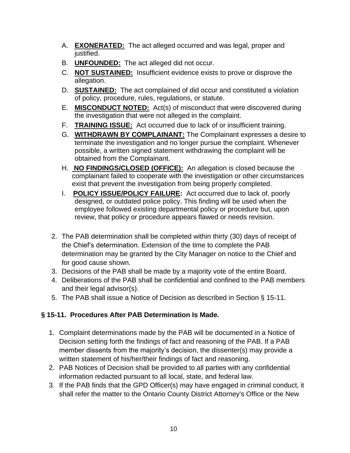- A. **EXONERATED:** The act alleged occurred and was legal, proper and justified.
- B. **UNFOUNDED:** The act alleged did not occur.
- C. **NOT SUSTAINED:** Insufficient evidence exists to prove or disprove the allegation.
- D. **SUSTAINED:** The act complained of did occur and constituted a violation of policy, procedure, rules, regulations, or statute.
- E. **MISCONDUCT NOTED:** Act(s) of misconduct that were discovered during the investigation that were not alleged in the complaint.
- F. **TRAINING ISSUE:** Act occurred due to lack of or insufficient training.
- G. **WITHDRAWN BY COMPLAINANT:** The Complainant expresses a desire to terminate the investigation and no longer pursue the complaint. Whenever possible, a written signed statement withdrawing the complaint will be obtained from the Complainant.
- H. **NO FINDINGS/CLOSED (OFFICE):** An allegation is closed because the complainant failed to cooperate with the investigation or other circumstances exist that prevent the investigation from being properly completed.
- I. **POLICY ISSUE/POLICY FAILURE:** Act occurred due to lack of, poorly designed, or outdated police policy. This finding will be used when the employee followed existing departmental policy or procedure but, upon review, that policy or procedure appears flawed or needs revision.
- 2. The PAB determination shall be completed within thirty (30) days of receipt of the Chief's determination. Extension of the time to complete the PAB determination may be granted by the City Manager on notice to the Chief and for good cause shown.
- 3. Decisions of the PAB shall be made by a majority vote of the entire Board.
- 4. Deliberations of the PAB shall be confidential and confined to the PAB members and their legal advisor(s).
- 5. The PAB shall issue a Notice of Decision as described in Section § 15-11.

# **§ 15-11. Procedures After PAB Determination Is Made.**

- 1. Complaint determinations made by the PAB will be documented in a Notice of Decision setting forth the findings of fact and reasoning of the PAB. If a PAB member dissents from the majority's decision, the dissenter(s) may provide a written statement of his/her/their findings of fact and reasoning.
- 2. PAB Notices of Decision shall be provided to all parties with any confidential information redacted pursuant to all local, state, and federal law.
- 3. If the PAB finds that the GPD Officer(s) may have engaged in criminal conduct, it shall refer the matter to the Ontario County District Attorney's Office or the New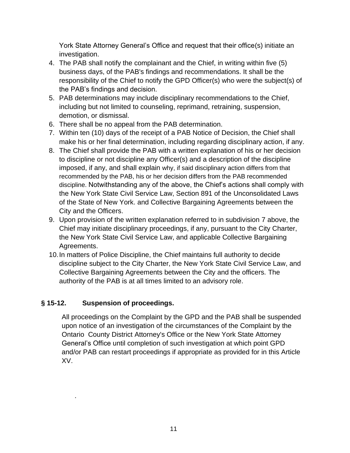York State Attorney General's Office and request that their office(s) initiate an investigation.

- 4. The PAB shall notify the complainant and the Chief, in writing within five (5) business days, of the PAB's findings and recommendations. It shall be the responsibility of the Chief to notify the GPD Officer(s) who were the subject(s) of the PAB's findings and decision.
- 5. PAB determinations may include disciplinary recommendations to the Chief, including but not limited to counseling, reprimand, retraining, suspension, demotion, or dismissal.
- 6. There shall be no appeal from the PAB determination.
- 7. Within ten (10) days of the receipt of a PAB Notice of Decision, the Chief shall make his or her final determination, including regarding disciplinary action, if any.
- 8. The Chief shall provide the PAB with a written explanation of his or her decision to discipline or not discipline any Officer(s) and a description of the discipline imposed, if any, and shall explain why, if said disciplinary action differs from that recommended by the PAB, his or her decision differs from the PAB recommended discipline. Notwithstanding any of the above, the Chief's actions shall comply with the New York State Civil Service Law, Section 891 of the Unconsolidated Laws of the State of New York. and Collective Bargaining Agreements between the City and the Officers.
- 9. Upon provision of the written explanation referred to in subdivision 7 above, the Chief may initiate disciplinary proceedings, if any, pursuant to the City Charter, the New York State Civil Service Law, and applicable Collective Bargaining Agreements.
- 10.In matters of Police Discipline, the Chief maintains full authority to decide discipline subject to the City Charter, the New York State Civil Service Law, and Collective Bargaining Agreements between the City and the officers. The authority of the PAB is at all times limited to an advisory role.

## **§ 15-12. Suspension of proceedings.**

.

All proceedings on the Complaint by the GPD and the PAB shall be suspended upon notice of an investigation of the circumstances of the Complaint by the Ontario County District Attorney's Office or the New York State Attorney General's Office until completion of such investigation at which point GPD and/or PAB can restart proceedings if appropriate as provided for in this Article XV.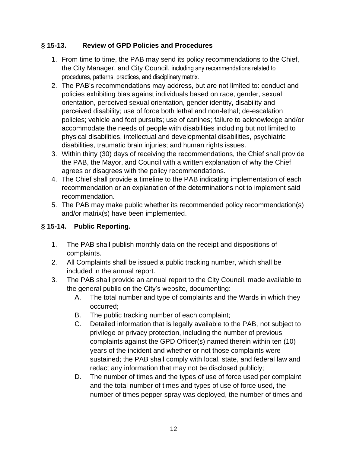# **§ 15-13. Review of GPD Policies and Procedures**

- 1. From time to time, the PAB may send its policy recommendations to the Chief, the City Manager, and City Council, including any recommendations related to procedures, patterns, practices, and disciplinary matrix.
- 2. The PAB's recommendations may address, but are not limited to: conduct and policies exhibiting bias against individuals based on race, gender, sexual orientation, perceived sexual orientation, gender identity, disability and perceived disability; use of force both lethal and non-lethal; de-escalation policies; vehicle and foot pursuits; use of canines; failure to acknowledge and/or accommodate the needs of people with disabilities including but not limited to physical disabilities, intellectual and developmental disabilities, psychiatric disabilities, traumatic brain injuries; and human rights issues.
- 3. Within thirty (30) days of receiving the recommendations, the Chief shall provide the PAB, the Mayor, and Council with a written explanation of why the Chief agrees or disagrees with the policy recommendations.
- 4. The Chief shall provide a timeline to the PAB indicating implementation of each recommendation or an explanation of the determinations not to implement said recommendation.
- 5. The PAB may make public whether its recommended policy recommendation(s) and/or matrix(s) have been implemented.

# **§ 15-14. Public Reporting.**

- 1. The PAB shall publish monthly data on the receipt and dispositions of complaints.
- 2. All Complaints shall be issued a public tracking number, which shall be included in the annual report.
- 3. The PAB shall provide an annual report to the City Council, made available to the general public on the City's website, documenting:
	- A. The total number and type of complaints and the Wards in which they occurred;
	- B. The public tracking number of each complaint;
	- C. Detailed information that is legally available to the PAB, not subject to privilege or privacy protection, including the number of previous complaints against the GPD Officer(s) named therein within ten (10) years of the incident and whether or not those complaints were sustained; the PAB shall comply with local, state, and federal law and redact any information that may not be disclosed publicly;
	- D. The number of times and the types of use of force used per complaint and the total number of times and types of use of force used, the number of times pepper spray was deployed, the number of times and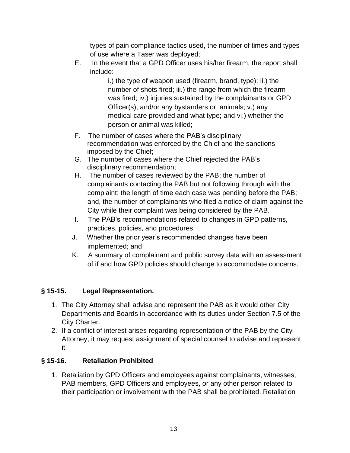types of pain compliance tactics used, the number of times and types of use where a Taser was deployed;

E. In the event that a GPD Officer uses his/her firearm, the report shall include:

> i.) the type of weapon used (firearm, brand, type); ii.) the number of shots fired; iii.) the range from which the firearm was fired; iv.) injuries sustained by the complainants or GPD Officer(s), and/or any bystanders or animals; v.) any medical care provided and what type; and vi.) whether the person or animal was killed;

- F. The number of cases where the PAB's disciplinary recommendation was enforced by the Chief and the sanctions imposed by the Chief;
- G. The number of cases where the Chief rejected the PAB's disciplinary recommendation;
- H. The number of cases reviewed by the PAB; the number of complainants contacting the PAB but not following through with the complaint; the length of time each case was pending before the PAB; and, the number of complainants who filed a notice of claim against the City while their complaint was being considered by the PAB.
- I. The PAB's recommendations related to changes in GPD patterns, practices, policies, and procedures;
- J. Whether the prior year's recommended changes have been implemented; and
- K. A summary of complainant and public survey data with an assessment of if and how GPD policies should change to accommodate concerns.

# **§ 15-15. Legal Representation.**

- 1. The City Attorney shall advise and represent the PAB as it would other City Departments and Boards in accordance with its duties under Section 7.5 of the City Charter.
- 2. If a conflict of interest arises regarding representation of the PAB by the City Attorney, it may request assignment of special counsel to advise and represent it.

## **§ 15-16. Retaliation Prohibited**

1. Retaliation by GPD Officers and employees against complainants, witnesses, PAB members, GPD Officers and employees, or any other person related to their participation or involvement with the PAB shall be prohibited. Retaliation